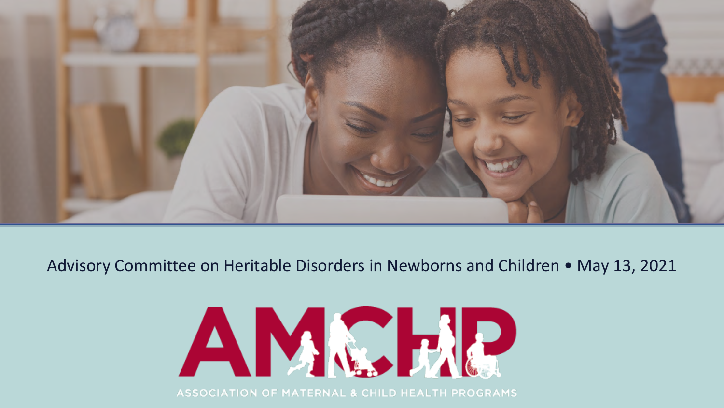

#### Advisory Committee on Heritable Disorders in Newborns and Children • May 13, 2021



**ASSOCIATION OF MATERNAL & CHILD HEALTH PROGRAMS**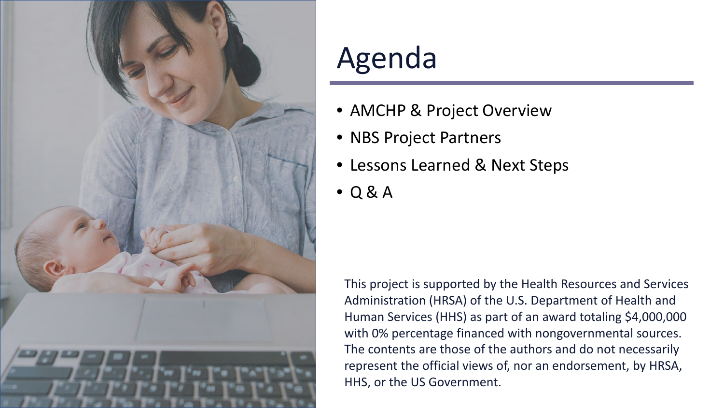

## Agenda

- AMCHP & Project Overview
- NBS Project Partners
- Lessons Learned & Next Steps
- Q & A

This project is supported by the Health Resources and Services Administration (HRSA) of the U.S. Department of Health and Human Services (HHS) as part of an award totaling \$4,000,000 with 0% percentage financed with nongovernmental sources. The contents are those of the authors and do not necessarily represent the official views of, nor an endorsement, by HRSA, HHS, or the US Government.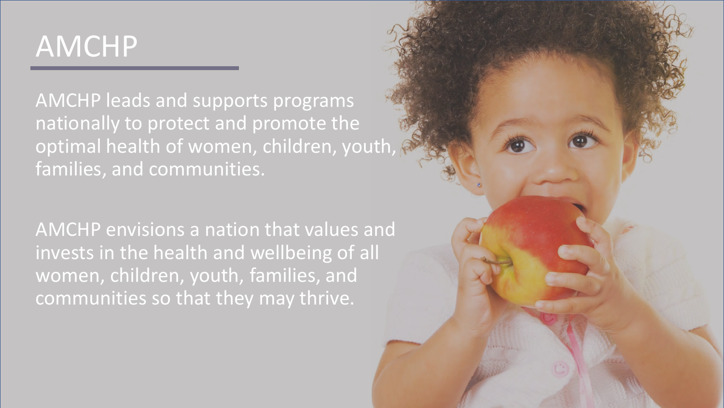## AMCHP

AMCHP leads and supports programs nationally to protect and promote the optimal health of women, children, youth, families, and communities.

AMCHP envisions a nation that values and invests in the health and wellbeing of all women, children, youth, families, and communities so that they may thrive.

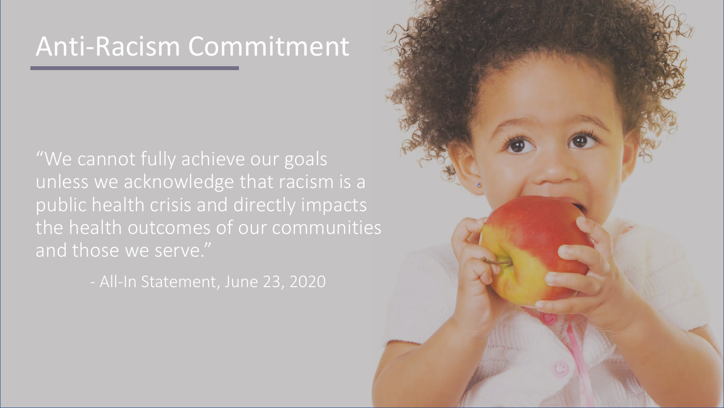### Anti-Racism Commitment

"We cannot fully achieve our goals unless we acknowledge that racism is a public health crisis and directly impacts the health outcomes of our communities and those we serve."

- All-In Statement, June 23, 2020

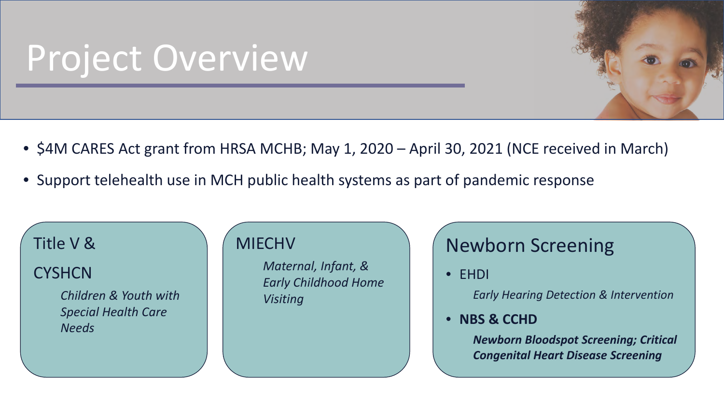# Project Overview

- \$4M CARES Act grant from HRSA MCHB; May 1, 2020 April 30, 2021 (NCE received in March)
- Support telehealth use in MCH public health systems as part of pandemic response

#### Title V &

**CYSHCN** 

*Children & Youth with Special Health Care Needs*

#### **MIECHV**

*Maternal, Infant, & Early Childhood Home Visiting*

#### Newborn Screening

• EHDI

*Early Hearing Detection & Intervention*

• **NBS & CCHD**

*Newborn Bloodspot Screening; Critical Congenital Heart Disease Screening*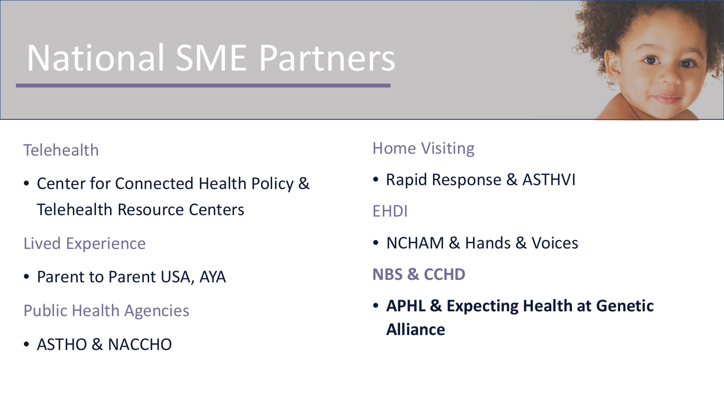# National SME Partners



- Center for Connected Health Policy & Telehealth Resource Centers
- Lived Experience
- Parent to Parent USA, AYA

Public Health Agencies

• ASTHO & NACCHO

#### Home Visiting

• Rapid Response & ASTHVI

EHDI

• NCHAM & Hands & Voices

#### **NBS & CCHD**

• **APHL & Expecting Health at Genetic Alliance**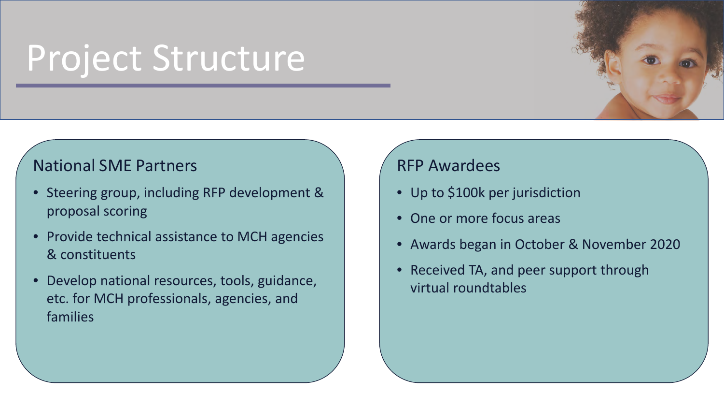# Project Structure

#### National SME Partners

- Steering group, including RFP development & proposal scoring
- Provide technical assistance to MCH agencies & constituents
- Develop national resources, tools, guidance, etc. for MCH professionals, agencies, and families

#### RFP Awardees

- Up to \$100k per jurisdiction
- One or more focus areas
- Awards began in October & November 2020
- Received TA, and peer support through virtual roundtables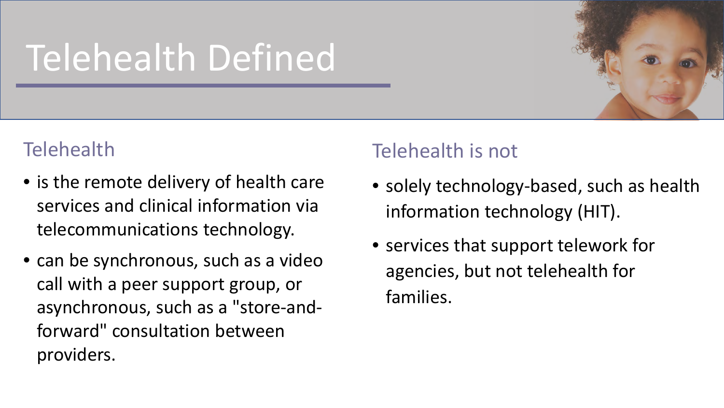# Telehealth Defined



- is the remote delivery of health care services and clinical information via telecommunications technology.
- can be synchronous, such as a video call with a peer support group, or asynchronous, such as a "store-andforward" consultation between providers.

#### Telehealth is not

- solely technology-based, such as health information technology (HIT).
- services that support telework for agencies, but not telehealth for families.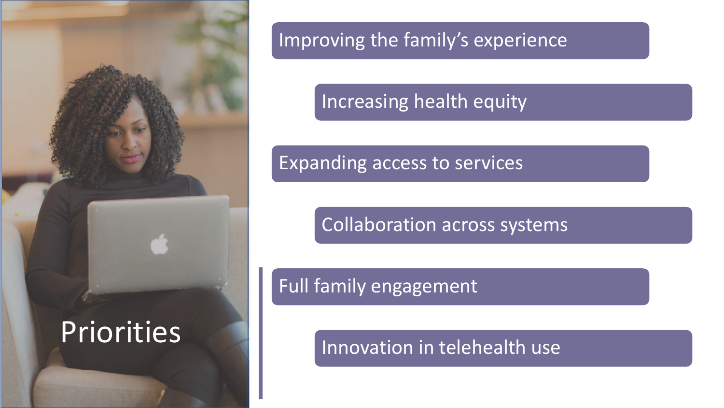

#### Improving the family's experience

#### Increasing health equity

#### Expanding access to services

Collaboration across systems

#### Full family engagement

Innovation in telehealth use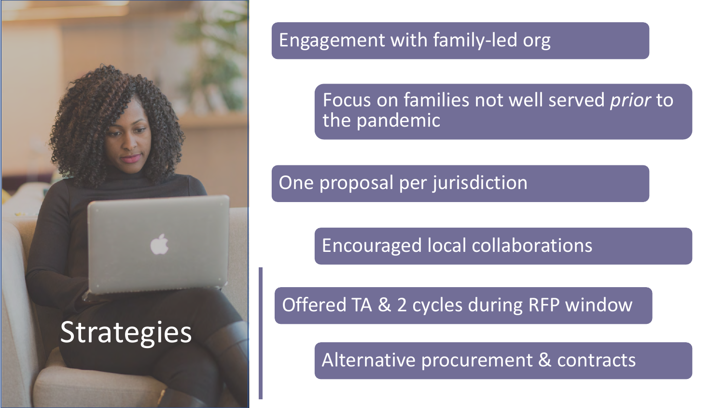

#### Engagement with family-led org

Focus on families not well served *prior* to the pandemic

One proposal per jurisdiction

Encouraged local collaborations

Offered TA & 2 cycles during RFP window

Alternative procurement & contracts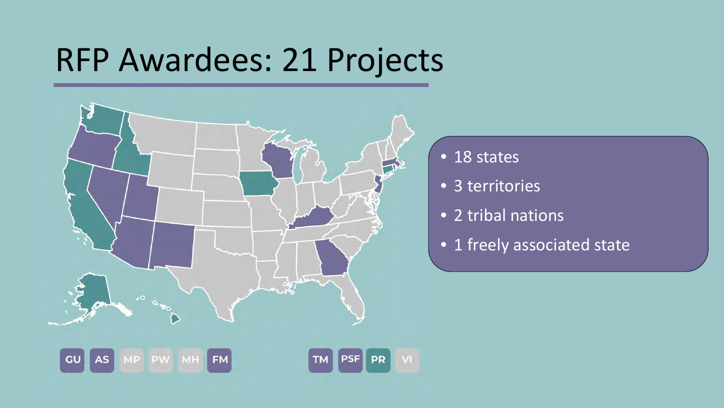# RFP Awardees: 21 Projects



- 18 states
- 3 territories
- 2 tribal nations
- 1 freely associated state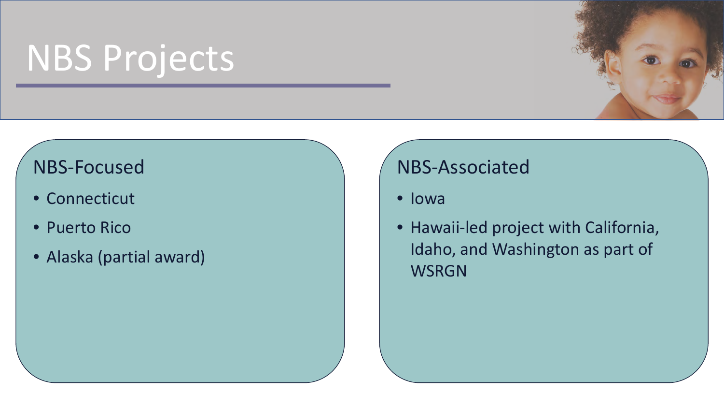# NBS Projects

#### NBS-Focused

- Connecticut
- Puerto Rico
- Alaska (partial award)

#### NBS-Associated

- Iowa
- Hawaii-led project with California, Idaho, and Washington as part of **WSRGN**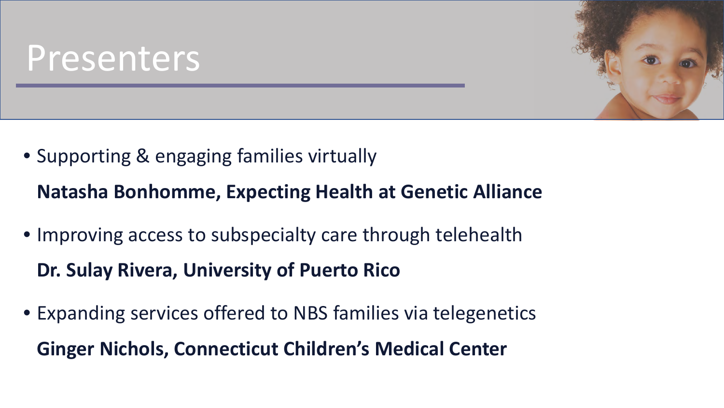# Presenters

• Supporting & engaging families virtually

**Natasha Bonhomme, Expecting Health at Genetic Alliance**

- Improving access to subspecialty care through telehealth **Dr. Sulay Rivera, University of Puerto Rico**
- Expanding services offered to NBS families via telegenetics **Ginger Nichols, Connecticut Children's Medical Center**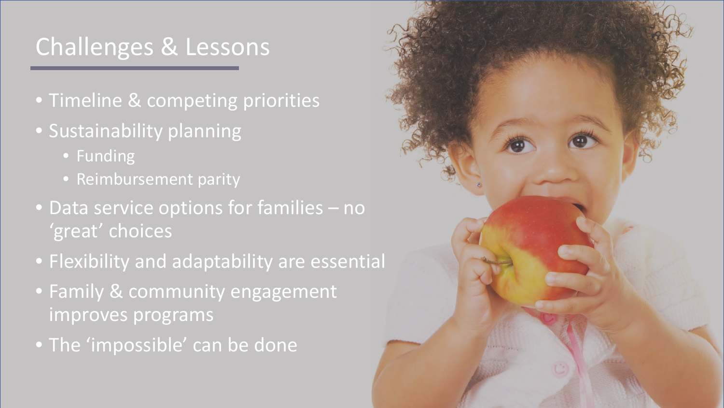### Challenges & Lessons

- Timeline & competing priorities
- Sustainability planning
	- Funding
	- Reimbursement parity
- Data service options for families no 'great' choices
- Flexibility and adaptability are essential
- Family & community engagement improves programs
- The 'impossible' can be done

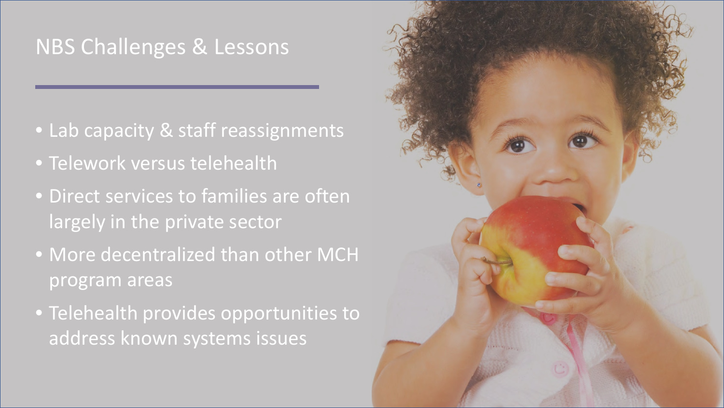### NBS Challenges & Lessons

- Lab capacity & staff reassignments
- Telework versus telehealth
- Direct services to families are often largely in the private sector
- More decentralized than other MCH program areas
- Telehealth provides opportunities to address known systems issues

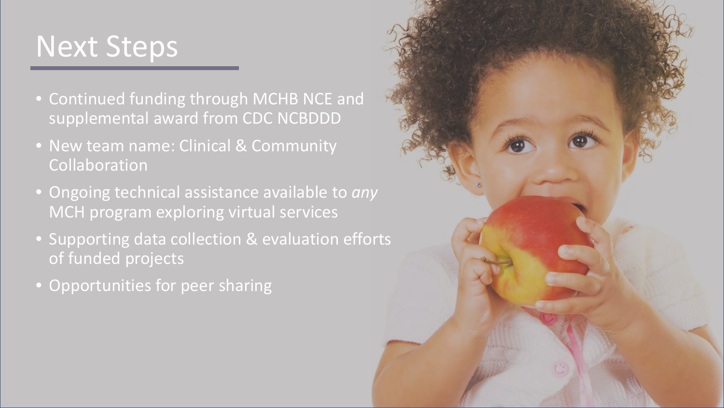### Next Steps

- Continued funding through MCHB NCE and supplemental award from CDC NCBDDD
- New team name: Clinical & Community Collaboration
- Ongoing technical assistance available to *any* MCH program exploring virtual services
- Supporting data collection & evaluation efforts of funded projects
- Opportunities for peer sharing